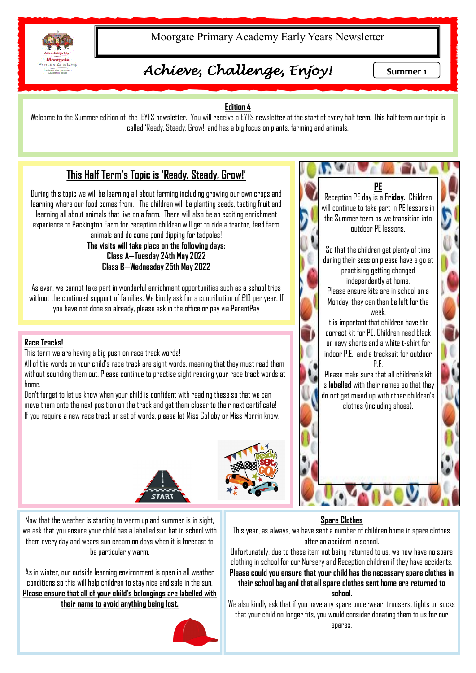

Moorgate Primary Academy Early Years Newsletter

# *Achieve, Challenge, Enjoy!* Summer 1

n U

 $\mathbb{R}$   $\mathbb{R}$ 

### **Edition 4**

Welcome to the Summer edition of the EYFS newsletter. You will receive a EYFS newsletter at the start of every half term. This half term our topic is called 'Ready, Steady, Grow!' and has a big focus on plants, farming and animals.

### **This Half Term's Topic is 'Ready, Steady, Grow!'**

During this topic we will be learning all about farming including growing our own crops and learning where our food comes from. The children will be planting seeds, tasting fruit and learning all about animals that live on a farm. There will also be an exciting enrichment experience to Packington Farm for reception children will get to ride a tractor, feed farm

animals and do some pond dipping for tadpoles! **The visits will take place on the following days: Class A—Tuesday 24th May 2022 Class B—Wednesday 25th May 2022** 

As ever, we cannot take part in wonderful enrichment opportunities such as a school trips without the continued support of families. We kindly ask for a contribution of £10 per year. If you have not done so already, please ask in the office or pay via ParentPay

#### **Race Tracks!**

This term we are having a big push on race track words!

All of the words on your child's race track are sight words, meaning that they must read them without sounding them out. Please continue to practise sight reading your race track words at home

Don't forget to let us know when your child is confident with reading these so that we can move them onto the next position on the track and get them closer to their next certificate! If you require a new race track or set of words, please let Miss Colloby or Miss Morrin know.





**PE** Reception PE day is a **Friday.** Children will continue to take part in PE lessons in the Summer term as we transition into outdoor PE lessons. So that the children get plenty of time during their session please have a go at practising getting changed independently at home. Please ensure kits are in school on a Monday, they can then be left for the week. It is important that children have the correct kit for PE. Children need black or navy shorts and a white t-shirt for indoor P.E. and a tracksuit for outdoor P.E. Please make sure that all children's kit is **labelled** with their names so that they do not get mixed up with other children's clothes (including shoes).

## **Spare Clothes**

This year, as always, we have sent a number of children home in spare clothes after an accident in school.

Unfortunately, due to these item not being returned to us, we now have no spare clothing in school for our Nursery and Reception children if they have accidents. **Please could you ensure that your child has the necessary spare clothes in their school bag and that all spare clothes sent home are returned to school.**

We also kindly ask that if you have any spare underwear, trousers, tights or socks that your child no longer fits, you would consider donating them to us for our spares.

Now that the weather is starting to warm up and summer is in sight, we ask that you ensure your child has a labelled sun hat in school with them every day and wears sun cream on days when it is forecast to be particularly warm.

As in winter, our outside learning environment is open in all weather conditions so this will help children to stay nice and safe in the sun. **Please ensure that all of your child's belongings are labelled with their name to avoid anything being lost.**